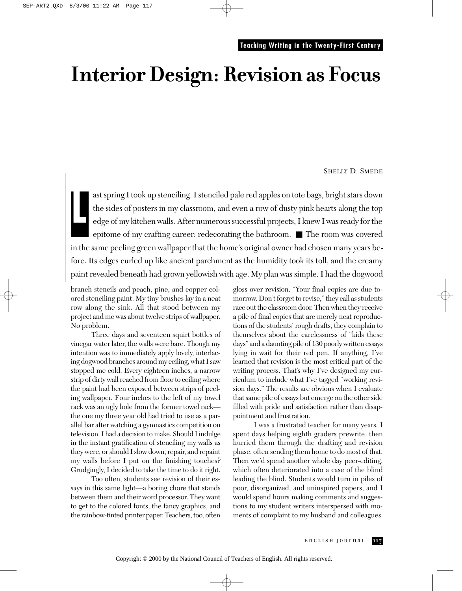# **Interior Design: Revision as Focus**

#### SHELLY D. SMEDE

ast spring I took up stenciling. I stenciled pale red apples on tote bags, bright stars down the sides of posters in my classroom, and even a row of dusty pink hearts along the top edge of my kitchen walls. After numerous successful projects, I knew I was ready for the epitome of my crafting career: redecorating the bathroom. ■ The room was covered in the same peeling green wallpaper that the home's original owner had chosen many years before. Its edges curled up like ancient parchment as the humidity took its toll, and the creamy paint revealed beneath had grown yellowish with age. My plan was simple. I had the dogwood **L**

branch stencils and peach, pine, and copper colored stenciling paint. My tiny brushes lay in a neat row along the sink. All that stood between my project and me was about twelve strips of wallpaper. No problem.

Three days and seventeen squirt bottles of vinegar water later, the walls were bare. Though my intention was to immediately apply lovely, interlacing dogwood branches around my ceiling, what I saw stopped me cold. Every eighteen inches, a narrow strip of dirty wall reached from floor to ceiling where the paint had been exposed between strips of peeling wallpaper. Four inches to the left of my towel rack was an ugly hole from the former towel rack the one my three year old had tried to use as a parallel bar after watching a gymnastics competition on television. I had a decision to make. Should I indulge in the instant gratification of stenciling my walls as they were, or should I slow down, repair, and repaint my walls before I put on the finishing touches? Grudgingly, I decided to take the time to do it right.

Too often, students see revision of their essays in this same light—a boring chore that stands between them and their word processor. They want to get to the colored fonts, the fancy graphics, and the rainbow-tinted printer paper. Teachers, too, often

gloss over revision. "Your final copies are due tomorrow. Don't forget to revise," they call as students race out the classroom door. Then when they receive a pile of final copies that are merely neat reproductions of the students' rough drafts, they complain to themselves about the carelessness of "kids these days" and a daunting pile of 130 poorly written essays lying in wait for their red pen. If anything, I've learned that revision is the most critical part of the writing process. That's why I've designed my curriculum to include what I've tagged "working revision days." The results are obvious when I evaluate that same pile of essays but emerge on the other side filled with pride and satisfaction rather than disappointment and frustration.

I was a frustrated teacher for many years. I spent days helping eighth graders prewrite, then hurried them through the drafting and revision phase, often sending them home to do most of that. Then we'd spend another whole day peer-editing, which often deteriorated into a case of the blind leading the blind. Students would turn in piles of poor, disorganized, and uninspired papers, and I would spend hours making comments and suggestions to my student writers interspersed with moments of complaint to my husband and colleagues.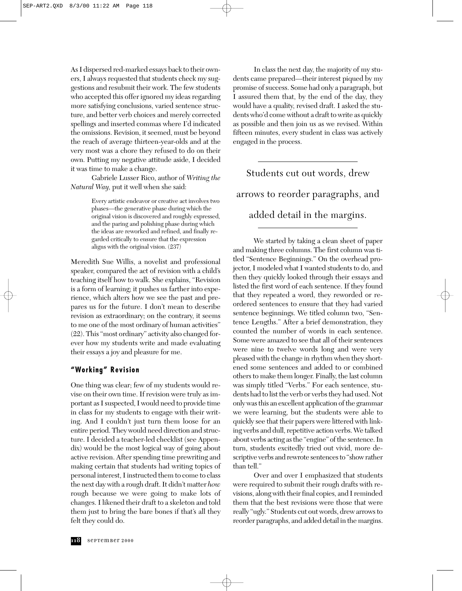As I dispersed red-marked essays back to their owners, I always requested that students check my suggestions and resubmit their work. The few students who accepted this offer ignored my ideas regarding more satisfying conclusions, varied sentence structure, and better verb choices and merely corrected spellings and inserted commas where I'd indicated the omissions. Revision, it seemed, must be beyond the reach of average thirteen-year-olds and at the very most was a chore they refused to do on their own. Putting my negative attitude aside, I decided it was time to make a change.

Gabriele Lusser Rico, author of *Writing the Natural Way,* put it well when she said:

> Every artistic endeavor or creative act involves two phases—the generative phase during which the original vision is discovered and roughly expressed, and the paring and polishing phase during which the ideas are reworked and refined, and finally regarded critically to ensure that the expression aligns with the original vision. (237)

Meredith Sue Willis, a novelist and professional speaker, compared the act of revision with a child's teaching itself how to walk. She explains, "Revision is a form of learning; it pushes us farther into experience, which alters how we see the past and prepares us for the future. I don't mean to describe revision as extraordinary; on the contrary, it seems to me one of the most ordinary of human activities" (22). This "most ordinary" activity also changed forever how my students write and made evaluating their essays a joy and pleasure for me.

### **"Working" Revision**

One thing was clear; few of my students would revise on their own time. If revision were truly as important as I suspected, I would need to provide time in class for my students to engage with their writing. And I couldn't just turn them loose for an entire period. They would need direction and structure. I decided a teacher-led checklist (see Appendix) would be the most logical way of going about active revision. After spending time prewriting and making certain that students had writing topics of personal interest, I instructed them to come to class the next day with a rough draft. It didn't matter *how* rough because we were going to make lots of changes. I likened their draft to a skeleton and told them just to bring the bare bones if that's all they felt they could do.

In class the next day, the majority of my students came prepared—their interest piqued by my promise of success. Some had only a paragraph, but I assured them that, by the end of the day, they would have a quality, revised draft. I asked the students who'd come without a draft to write as quickly as possible and then join us as we revised. Within fifteen minutes, every student in class was actively engaged in the process.

Students cut out words, drew arrows to reorder paragraphs, and added detail in the margins.

We started by taking a clean sheet of paper and making three columns. The first column was titled "Sentence Beginnings." On the overhead projector, I modeled what I wanted students to do, and then they quickly looked through their essays and listed the first word of each sentence. If they found that they repeated a word, they reworded or reordered sentences to ensure that they had varied sentence beginnings. We titled column two, "Sentence Lengths." After a brief demonstration, they counted the number of words in each sentence. Some were amazed to see that all of their sentences were nine to twelve words long and were very pleased with the change in rhythm when they shortened some sentences and added to or combined others to make them longer. Finally, the last column was simply titled "Verbs." For each sentence, students had to list the verb or verbs they had used. Not only was this an excellent application of the grammar we were learning, but the students were able to quickly see that their papers were littered with linking verbs and dull, repetitive action verbs. We talked about verbs acting as the "engine" of the sentence. In turn, students excitedly tried out vivid, more descriptive verbs and rewrote sentences to "show rather than tell."

Over and over I emphasized that students were required to submit their rough drafts with revisions, along with their final copies, and I reminded them that the best revisions were those that were really "ugly." Students cut out words, drew arrows to reorder paragraphs, and added detail in the margins.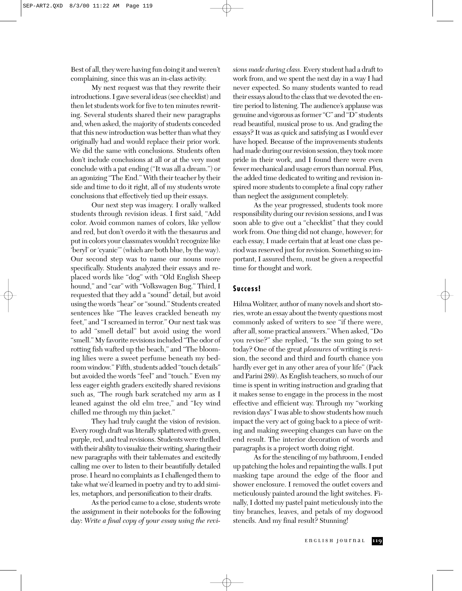Best of all, they were having fun doing it and weren't complaining, since this was an in-class activity.

My next request was that they rewrite their introductions. I gave several ideas (see checklist) and then let students work for five to ten minutes rewriting. Several students shared their new paragraphs and, when asked, the majority of students conceded that this new introduction was better than what they originally had and would replace their prior work. We did the same with conclusions. Students often don't include conclusions at all or at the very most conclude with a pat ending ("It was all a dream.") or an agonizing "The End." With their teacher by their side and time to do it right, all of my students wrote conclusions that effectively tied up their essays.

Our next step was imagery. I orally walked students through revision ideas. I first said, "Add color. Avoid common names of colors, like yellow and red, but don't overdo it with the thesaurus and put in colors your classmates wouldn't recognize like 'beryl' or 'cyanic'" (which are both blue, by the way). Our second step was to name our nouns more specifically. Students analyzed their essays and replaced words like "dog" with "Old English Sheep hound," and "car" with "Volkswagen Bug." Third, I requested that they add a "sound" detail, but avoid using the words "hear" or "sound." Students created sentences like "The leaves crackled beneath my feet," and "I screamed in terror." Our next task was to add "smell detail" but avoid using the word "smell." My favorite revisions included "The odor of rotting fish wafted up the beach," and "The blooming lilies were a sweet perfume beneath my bedroom window." Fifth, students added "touch details" but avoided the words "feel" and "touch." Even my less eager eighth graders excitedly shared revisions such as, "The rough bark scratched my arm as I leaned against the old elm tree," and "Icy wind chilled me through my thin jacket."

They had truly caught the vision of revision. Every rough draft was literally splattered with green, purple, red, and teal revisions. Students were thrilled with their ability to visualize their writing, sharing their new paragraphs with their tablemates and excitedly calling me over to listen to their beautifully detailed prose. I heard no complaints as I challenged them to take what we'd learned in poetry and try to add similes, metaphors, and personification to their drafts.

As the period came to a close, students wrote the assignment in their notebooks for the following day: *Write a final copy of your essay using the revi-* *sions made during class.* Every student had a draft to work from, and we spent the next day in a way I had never expected. So many students wanted to read their essays aloud to the class that we devoted the entire period to listening. The audience's applause was genuine and vigorous as former "C" and "D" students read beautiful, musical prose to us. And grading the essays? It was as quick and satisfying as I would ever have hoped. Because of the improvements students had made during our revision session, they took more pride in their work, and I found there were even fewer mechanical and usage errors than normal. Plus, the added time dedicated to writing and revision inspired more students to complete a final copy rather than neglect the assignment completely.

As the year progressed, students took more responsibility during our revision sessions, and I was soon able to give out a "checklist" that they could work from. One thing did not change, however; for each essay, I made certain that at least one class period was reserved just for revision. Something so important, I assured them, must be given a respectful time for thought and work.

#### **Success!**

Hilma Wolitzer, author of many novels and short stories, wrote an essay about the twenty questions most commonly asked of writers to see "if there were, after all, some practical answers." When asked, "Do you revise?" she replied, "Is the sun going to set today? One of the great *pleasures* of writing is revision, the second and third and fourth chance you hardly ever get in any other area of your life" (Pack and Parini 289). As English teachers, so much of our time is spent in writing instruction and grading that it makes sense to engage in the process in the most effective and efficient way. Through my "working revision days" I was able to show students how much impact the very act of going back to a piece of writing and making sweeping changes can have on the end result. The interior decoration of words and paragraphs is a project worth doing right.

As for the stenciling of my bathroom, I ended up patching the holes and repainting the walls. I put masking tape around the edge of the floor and shower enclosure. I removed the outlet covers and meticulously painted around the light switches. Finally, I dotted my pastel paint meticulously into the tiny branches, leaves, and petals of my dogwood stencils. And my final result? Stunning!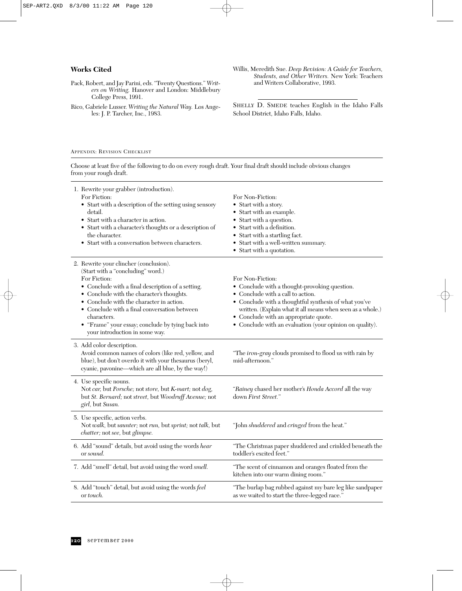#### **Works Cited**

- Pack, Robert, and Jay Parini, eds. "Twenty Questions." *Writers on Writing.* Hanover and London: Middlebury College Press, 1991.
- Rico, Gabriele Lusser. *Writing the Natural Way.* Los Angeles: J. P. Tarcher, Inc., 1983.
- Willis, Meredith Sue. *Deep Revision: A Guide for Teachers, Students, and Other Writers.* New York: Teachers and Writers Collaborative, 1993.

SHELLY D. SMEDE teaches English in the Idaho Falls School District, Idaho Falls, Idaho.

#### APPENDIX: REVISION CHECKLIST

Choose at least five of the following to do on every rough draft. Your final draft should include obvious changes from your rough draft.

| 1. Rewrite your grabber (introduction).<br>For Fiction:<br>• Start with a description of the setting using sensory<br>detail.<br>• Start with a character in action.<br>• Start with a character's thoughts or a description of<br>the character.<br>• Start with a conversation between characters.                                                                                          | For Non-Fiction:<br>• Start with a story.<br>• Start with an example.<br>• Start with a question.<br>• Start with a definition.<br>• Start with a startling fact.<br>• Start with a well-written summary.<br>$\bullet$ Start with a quotation.                                                                                     |
|-----------------------------------------------------------------------------------------------------------------------------------------------------------------------------------------------------------------------------------------------------------------------------------------------------------------------------------------------------------------------------------------------|------------------------------------------------------------------------------------------------------------------------------------------------------------------------------------------------------------------------------------------------------------------------------------------------------------------------------------|
| 2. Rewrite your clincher (conclusion).<br>(Start with a "concluding" word.)<br>For Fiction:<br>• Conclude with a final description of a setting.<br>• Conclude with the character's thoughts.<br>Conclude with the character in action.<br>• Conclude with a final conversation between<br>characters.<br>• "Frame" your essay; conclude by tying back into<br>your introduction in some way. | For Non-Fiction:<br>• Conclude with a thought-provoking question.<br>• Conclude with a call to action.<br>• Conclude with a thoughtful synthesis of what you've<br>written. (Explain what it all means when seen as a whole.)<br>• Conclude with an appropriate quote.<br>• Conclude with an evaluation (your opinion on quality). |
| 3. Add color description.<br>Avoid common names of colors (like red, yellow, and<br>blue), but don't overdo it with your thesaurus (beryl,<br>cyanic, pavonine-which are all blue, by the way!)                                                                                                                                                                                               | "The <i>iron-gray</i> clouds promised to flood us with rain by<br>mid-afternoon."                                                                                                                                                                                                                                                  |
| 4. Use specific nouns.<br>Not car, but Porsche; not store, but K-mart; not dog,<br>but St. Bernard; not street, but Woodruff Avenue; not<br>girl, but Susan.                                                                                                                                                                                                                                  | "Rainey chased her mother's Honda Accord all the way<br>down First Street."                                                                                                                                                                                                                                                        |
| 5. Use specific, action verbs.<br>Not walk, but saunter; not run, but sprint; not talk, but<br>chatter; not see, but glimpse.                                                                                                                                                                                                                                                                 | "John shuddered and cringed from the heat."                                                                                                                                                                                                                                                                                        |
| 6. Add "sound" details, but avoid using the words hear<br>or sound.                                                                                                                                                                                                                                                                                                                           | "The Christmas paper shuddered and crinkled beneath the<br>toddler's excited feet."                                                                                                                                                                                                                                                |
| 7. Add "smell" detail, but avoid using the word smell.                                                                                                                                                                                                                                                                                                                                        | "The scent of cinnamon and oranges floated from the<br>kitchen into our warm dining room."                                                                                                                                                                                                                                         |
| 8. Add "touch" detail, but avoid using the words feel<br>or touch.                                                                                                                                                                                                                                                                                                                            | "The burlap bag rubbed against my bare leg like sandpaper<br>as we waited to start the three-legged race."                                                                                                                                                                                                                         |